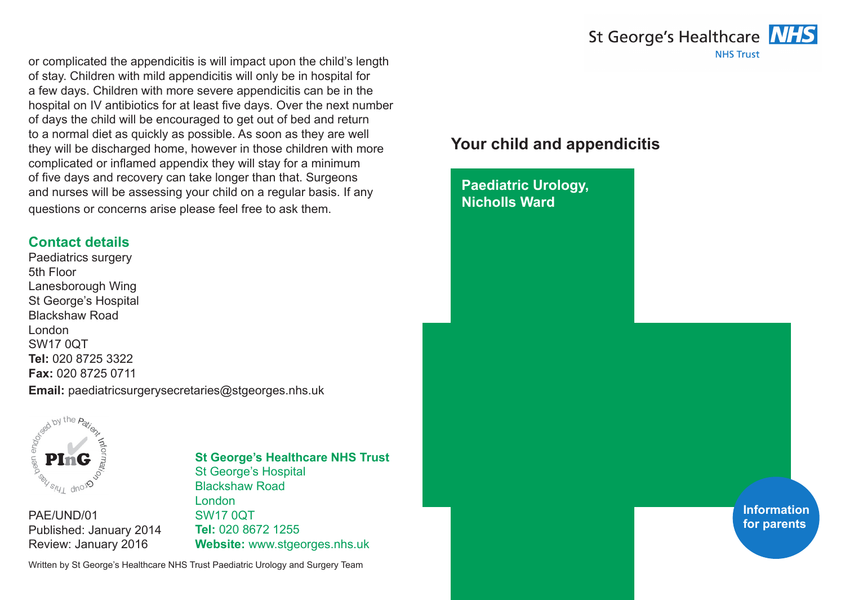

or complicated the appendicitis is will impact upon the child's length of stay. Children with mild appendicitis will only be in hospital for a few days. Children with more severe appendicitis can be in the hospital on IV antibiotics for at least five days. Over the next number of days the child will be encouraged to get out of bed and return to a normal diet as quickly as possible. As soon as they are well they will be discharged home, however in those children with more complicated or inflamed appendix they will stay for a minimum of five days and recovery can take longer than that. Surgeons and nurses will be assessing your child on a regular basis. If any questions or concerns arise please feel free to ask them.

## **Contact details**

Paediatrics surgery 5th Floor Lanesborough Wing St George's Hospital Blackshaw Road London SW17 0QT **Tel:** 020 8725 3322 **Fax:** 020 8725 0711

**Email:** paediatricsurgerysecretaries@stgeorges.nhs.uk



PAE/UND/01 Published: January 2014 Review: January 2016

### **St George's Healthcare NHS Trust** St George's Hospital Blackshaw Road London SW17 0QT **Tel:** 020 8672 1255

**Website:** www.stgeorges.nhs.uk

Written by St George's Healthcare NHS Trust Paediatric Urology and Surgery Team

# **Your child and appendicitis**

**Paediatric Urology, Nicholls Ward**

> **Information for parents**